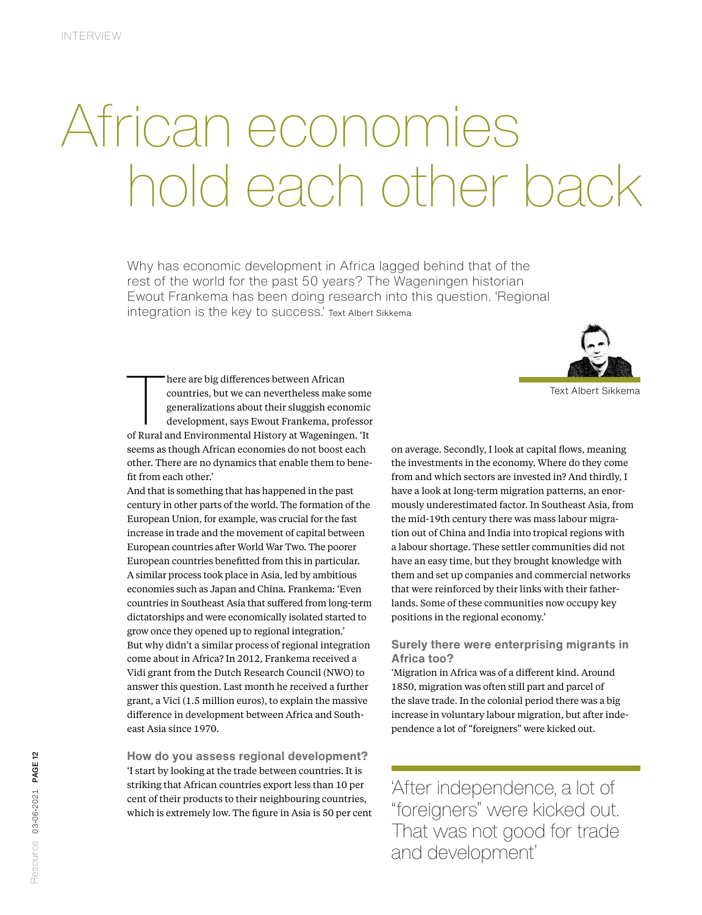# African economies hold each other back

Why has economic development in Africa lagged behind that of the rest of the world for the past 50 years? The Wageningen historian Ewout Frankema has been doing research into this question. 'Regional integration is the key to success.' Text Albert Sikkema

There are big differences between African<br>countries, but we can nevertheless make some<br>generalizations about their sluggish economic<br>development, says Ewout Frankema, professor<br>of Rural and Environmental History at Wagenin here are big differences between African countries, but we can nevertheless make some generalizations about their sluggish economic development, says Ewout Frankema, professor seems as though African economies do not boost each other. There are no dynamics that enable them to benefit from each other.'

And that is something that has happened in the past century in other parts of the world. The formation of the European Union, for example, was crucial for the fast increase in trade and the movement of capital between European countries after World War Two. The poorer European countries benefitted from this in particular. A similar process took place in Asia, led by ambitious economies such as Japan and China. Frankema: 'Even countries in Southeast Asia that suffered from long-term dictatorships and were economically isolated started to grow once they opened up to regional integration.' But why didn't a similar process of regional integration come about in Africa? In 2012, Frankema received a Vidi grant from the Dutch Research Council (NWO) to answer this question. Last month he received a further grant, a Vici (1.5 million euros), to explain the massive difference in development between Africa and Southeast Asia since 1970.

**How do you assess regional development?**  'I start by looking at the trade between countries. It is striking that African countries export less than 10 per cent of their products to their neighbouring countries, which is extremely low. The figure in Asia is 50 per cent



on average. Secondly, I look at capital flows, meaning the investments in the economy. Where do they come from and which sectors are invested in? And thirdly, I have a look at long-term migration patterns, an enormously underestimated factor. In Southeast Asia, from the mid-19th century there was mass labour migration out of China and India into tropical regions with a labour shortage. These settler communities did not have an easy time, but they brought knowledge with them and set up companies and commercial networks that were reinforced by their links with their fatherlands. Some of these communities now occupy key positions in the regional economy.'

## **Surely there were enterprising migrants in Africa too?**

'Migration in Africa was of a different kind. Around 1850, migration was often still part and parcel of the slave trade. In the colonial period there was a big increase in voluntary labour migration, but after independence a lot of "foreigners" were kicked out.

'After independence, a lot of "foreigners" were kicked out. That was not good for trade and development'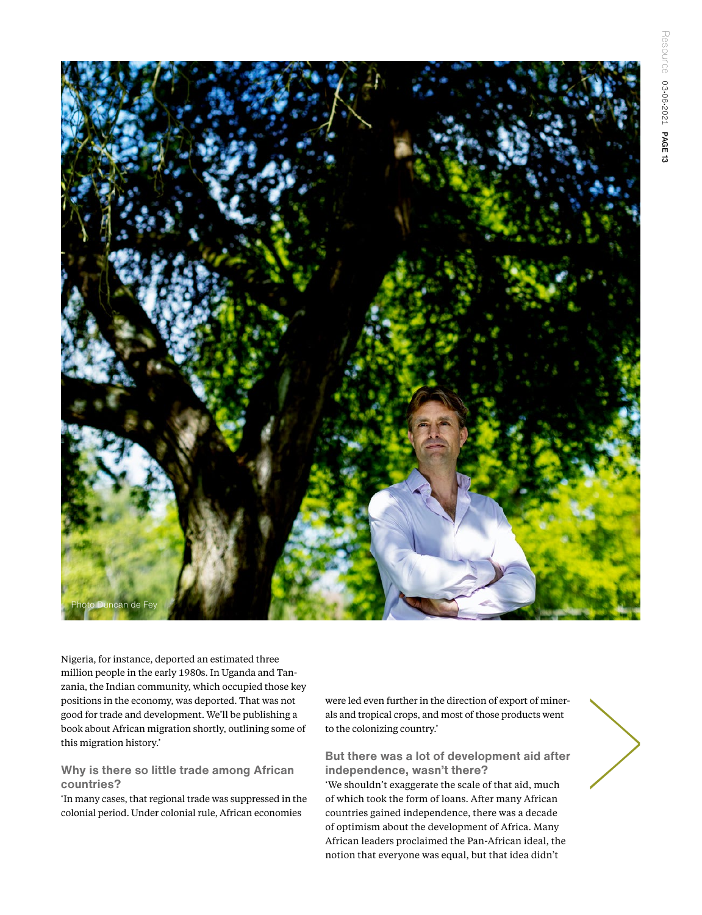

Nigeria, for instance, deported an estimated three million people in the early 1980s. In Uganda and Tanzania, the Indian community, which occupied those key positions in the economy, was deported. That was not good for trade and development. We'll be publishing a book about African migration shortly, outlining some of this migration history.'

### **Why is there so little trade among African countries?**

'In many cases, that regional trade was suppressed in the colonial period. Under colonial rule, African economies

were led even further in the direction of export of minerals and tropical crops, and most of those products went to the colonizing country.'

**But there was a lot of development aid after independence, wasn't there?** 

'We shouldn't exaggerate the scale of that aid, much of which took the form of loans. After many African countries gained independence, there was a decade of optimism about the development of Africa. Many African leaders proclaimed the Pan-African ideal, the notion that everyone was equal, but that idea didn't